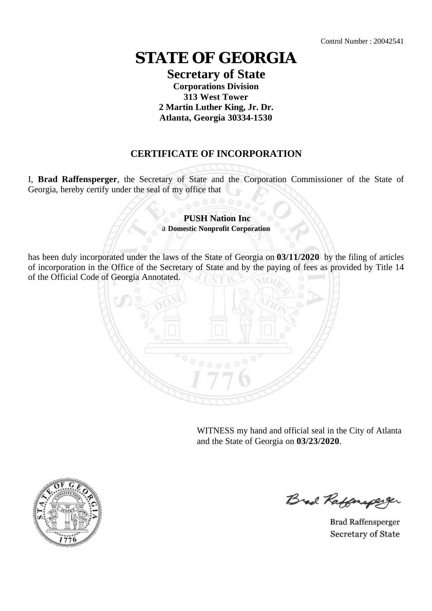## **STATE OF GEORGIA**

## **Secretary of State Corporations Division 313 West Tower 2 Martin Luther King, Jr. Dr. Atlanta, Georgia 30334-1530**

## **CERTIFICATE OF INCORPORATION**

I, **Brad Raffensperger**, the Secretary of State and the Corporation Commissioner of the State of Georgia, hereby certify under the seal of my office that

> **PUSH Nation Inc** a **Domestic Nonprofit Corporation**

has been duly incorporated under the laws of the State of Georgia on **03/11/2020** by the filing of articles of incorporation in the Office of the Secretary of State and by the paying of fees as provided by Title 14 of the Official Code of Georgia Annotated.



WITNESS my hand and official seal in the City of Atlanta and the State of Georgia on **03/23/2020**.



Brad Raffenaper

**Brad Raffensperger** Secretary of State